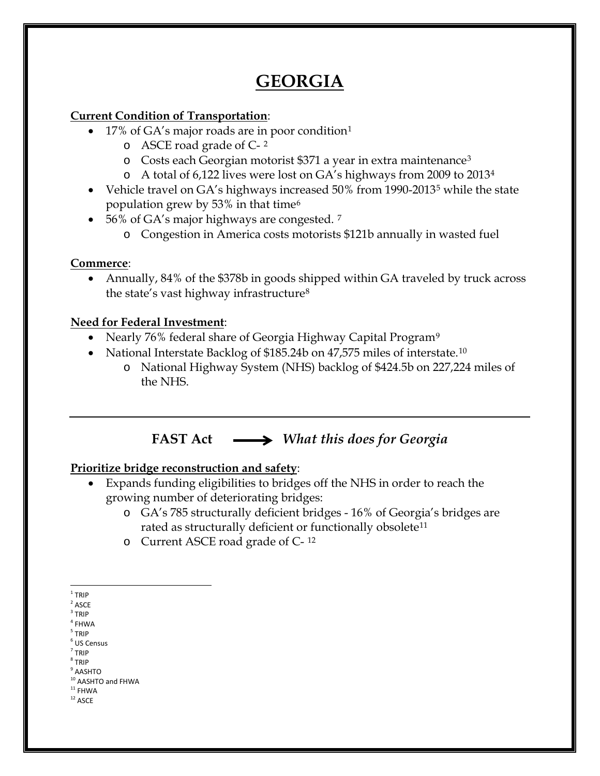# **GEORGIA**

### **Current Condition of Transportation**:

- [1](#page-0-0)7% of GA's major roads are in poor condition<sup>1</sup>
	- o ASCE road grade of C- [2](#page-0-1)
	- o Costs each Georgian motorist \$371 a year in extra maintenance[3](#page-0-2)
	- o A total of 6,122 lives were lost on GA's highways from 2009 to 2013[4](#page-0-3)
- Vehicle travel on GA's highways increased [5](#page-0-4)0% from 1990-2013<sup>5</sup> while the state population grew by 53% in that time[6](#page-0-5)
- 56% of GA's major highways are congested.  $7$ 
	- o Congestion in America costs motorists \$121b annually in wasted fuel

### **Commerce**:

• Annually, 84% of the \$378b in goods shipped within GA traveled by truck across the state's vast highway infrastructure[8](#page-0-7)

### **Need for Federal Investment**:

- Nearly 76% federal share of Georgia Highway Capital Program<sup>[9](#page-0-8)</sup>
- National Interstate Backlog of \$185.24b on 47,575 miles of interstate.<sup>[10](#page-0-9)</sup>
	- o National Highway System (NHS) backlog of \$424.5b on 227,224 miles of the NHS.

## **FAST Act** *What this does for Georgia*

### **Prioritize bridge reconstruction and safety**:

- Expands funding eligibilities to bridges off the NHS in order to reach the growing number of deteriorating bridges:
	- o GA's 785 structurally deficient bridges 16% of Georgia's bridges are rated as structurally deficient or functionally obsolete<sup>[11](#page-0-10)</sup>
	- o Current ASCE road grade of C- [12](#page-0-11)

- <span id="page-0-4"></span><span id="page-0-3"></span><sup>5</sup> TRIP
- <span id="page-0-5"></span> $<sup>6</sup>$  US Census</sup>  $<sup>7</sup>$  TRIP</sup>
- <span id="page-0-6"></span><sup>8</sup> TRIP
- <span id="page-0-8"></span><span id="page-0-7"></span> $^9$  AASHTO
- <span id="page-0-9"></span> $10$  AASHTO and FHWA<br> $11$  FHWA
- <span id="page-0-11"></span><span id="page-0-10"></span> $^{\rm 12}$  ASCE
- 

<span id="page-0-0"></span> $1$  TRIP

<span id="page-0-1"></span> $2$  ASCE

<span id="page-0-2"></span> $3$  TRIP

 $4$  FHWA